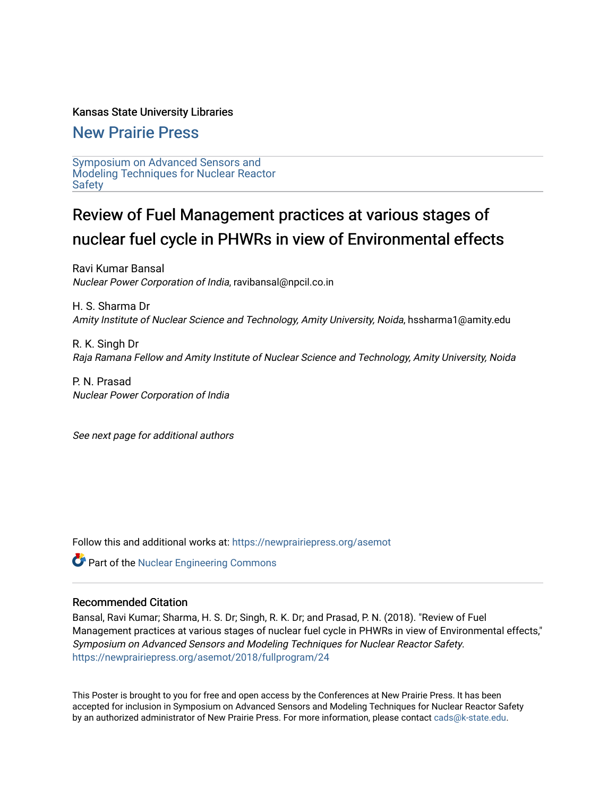### Kansas State University Libraries

# [New Prairie Press](https://newprairiepress.org/)

[Symposium on Advanced Sensors and](https://newprairiepress.org/asemot)  [Modeling Techniques for Nuclear Reactor](https://newprairiepress.org/asemot) [Safety](https://newprairiepress.org/asemot) 

# Review of Fuel Management practices at various stages of nuclear fuel cycle in PHWRs in view of Environmental effects

Ravi Kumar Bansal Nuclear Power Corporation of India, ravibansal@npcil.co.in

H. S. Sharma Dr Amity Institute of Nuclear Science and Technology, Amity University, Noida, hssharma1@amity.edu

R. K. Singh Dr Raja Ramana Fellow and Amity Institute of Nuclear Science and Technology, Amity University, Noida

P. N. Prasad Nuclear Power Corporation of India

See next page for additional authors

Follow this and additional works at: [https://newprairiepress.org/asemot](https://newprairiepress.org/asemot?utm_source=newprairiepress.org%2Fasemot%2F2018%2Ffullprogram%2F24&utm_medium=PDF&utm_campaign=PDFCoverPages) 

**Part of the Nuclear Engineering Commons** 

# Recommended Citation

Bansal, Ravi Kumar; Sharma, H. S. Dr; Singh, R. K. Dr; and Prasad, P. N. (2018). "Review of Fuel Management practices at various stages of nuclear fuel cycle in PHWRs in view of Environmental effects," Symposium on Advanced Sensors and Modeling Techniques for Nuclear Reactor Safety. <https://newprairiepress.org/asemot/2018/fullprogram/24>

This Poster is brought to you for free and open access by the Conferences at New Prairie Press. It has been accepted for inclusion in Symposium on Advanced Sensors and Modeling Techniques for Nuclear Reactor Safety by an authorized administrator of New Prairie Press. For more information, please contact [cads@k-state.edu](mailto:cads@k-state.edu).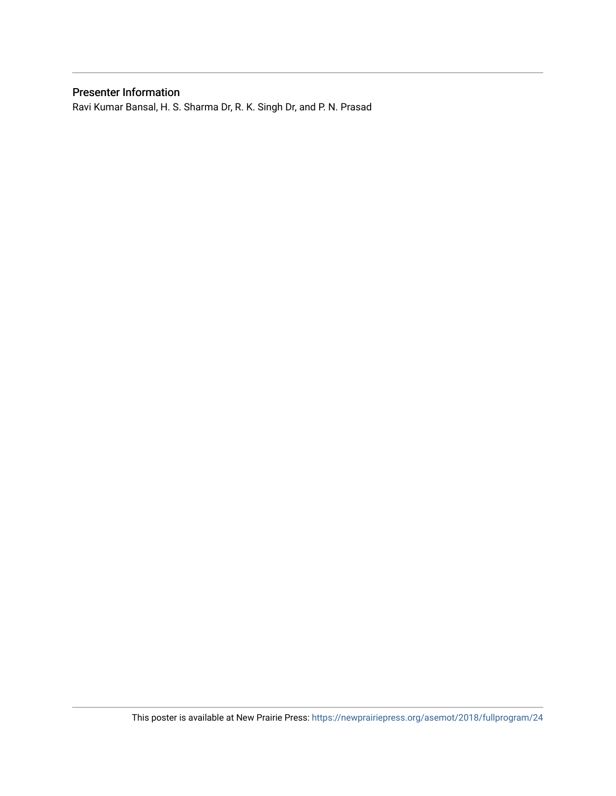# Presenter Information

Ravi Kumar Bansal, H. S. Sharma Dr, R. K. Singh Dr, and P. N. Prasad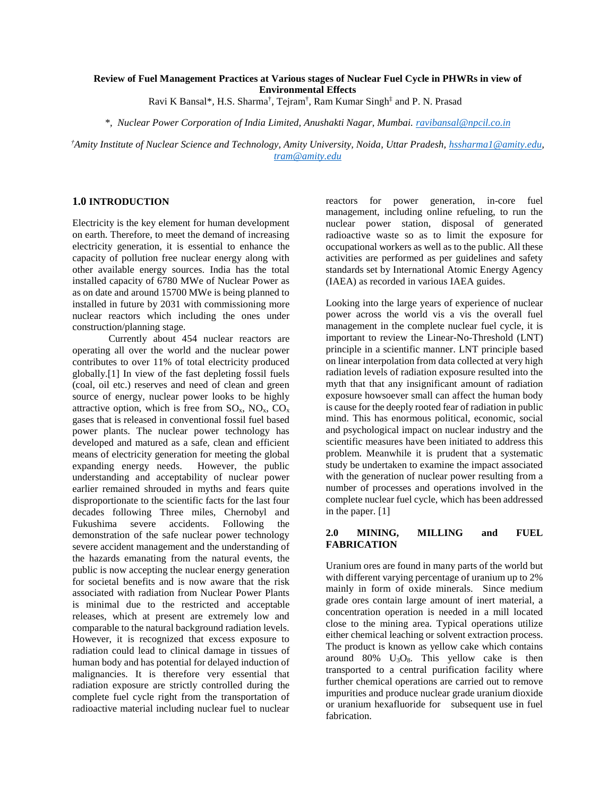# **Review of Fuel Management Practices at Various stages of Nuclear Fuel Cycle in PHWRs in view of Environmental Effects**

Ravi K Bansal\*, H.S. Sharma † , Tejram† , Ram Kumar Singh‡ and P. N. Prasad

*\*, Nuclear Power Corporation of India Limited, Anushakti Nagar, Mumbai. ravibansal@npcil.co.in*

*†Amity Institute of Nuclear Science and Technology, Amity University, Noida, Uttar Pradesh, hssharma1@amity.edu, tram@amity.edu*

#### **1.0 INTRODUCTION**

Electricity is the key element for human development on earth. Therefore, to meet the demand of increasing electricity generation, it is essential to enhance the capacity of pollution free nuclear energy along with other available energy sources. India has the total installed capacity of 6780 MWe of Nuclear Power as as on date and around 15700 MWe is being planned to installed in future by 2031 with commissioning more nuclear reactors which including the ones under construction/planning stage.

Currently about 454 nuclear reactors are operating all over the world and the nuclear power contributes to over 11% of total electricity produced globally.[1] In view of the fast depleting fossil fuels (coal, oil etc.) reserves and need of clean and green source of energy, nuclear power looks to be highly attractive option, which is free from  $SO_x$ ,  $NO_x$ ,  $CO_x$ gases that is released in conventional fossil fuel based power plants. The nuclear power technology has developed and matured as a safe, clean and efficient means of electricity generation for meeting the global expanding energy needs. However, the public understanding and acceptability of nuclear power earlier remained shrouded in myths and fears quite disproportionate to the scientific facts for the last four decades following Three miles, Chernobyl and Fukushima severe accidents. Following the demonstration of the safe nuclear power technology  $2.0$ severe accident management and the understanding of the hazards emanating from the natural events, the public is now accepting the nuclear energy generation for societal benefits and is now aware that the risk associated with radiation from Nuclear Power Plants is minimal due to the restricted and acceptable releases, which at present are extremely low and comparable to the natural background radiation levels. However, it is recognized that excess exposure to radiation could lead to clinical damage in tissues of human body and has potential for delayed induction of malignancies. It is therefore very essential that radiation exposure are strictly controlled during the complete fuel cycle right from the transportation of radioactive material including nuclear fuel to nuclear

reactors for power generation, in-core fuel management, including online refueling, to run the nuclear power station, disposal of generated radioactive waste so as to limit the exposure for occupational workers as well as to the public. All these activities are performed as per guidelines and safety standards set by International Atomic Energy Agency (IAEA) as recorded in various IAEA guides.

Looking into the large years of experience of nuclear power across the world vis a vis the overall fuel management in the complete nuclear fuel cycle, it is important to review the Linear-No-Threshold (LNT) principle in a scientific manner. LNT principle based on linear interpolation from data collected at very high radiation levels of radiation exposure resulted into the myth that that any insignificant amount of radiation exposure howsoever small can affect the human body is cause for the deeply rooted fear of radiation in public mind. This has enormous political, economic, social and psychological impact on nuclear industry and the scientific measures have been initiated to address this problem. Meanwhile it is prudent that a systematic study be undertaken to examine the impact associated with the generation of nuclear power resulting from a number of processes and operations involved in the complete nuclear fuel cycle, which has been addressed in the paper. [1]

#### **2.0 MINING, MILLING and FUEL FABRICATION**

Uranium ores are found in many parts of the world but with different varying percentage of uranium up to 2% mainly in form of oxide minerals. Since medium grade ores contain large amount of inert material, a concentration operation is needed in a mill located close to the mining area. Typical operations utilize either chemical leaching or solvent extraction process. The product is known as yellow cake which contains around  $80\%$  U<sub>3</sub>O<sub>8</sub>. This yellow cake is then transported to a central purification facility where further chemical operations are carried out to remove impurities and produce nuclear grade uranium dioxide or uranium hexafluoride for subsequent use in fuel fabrication.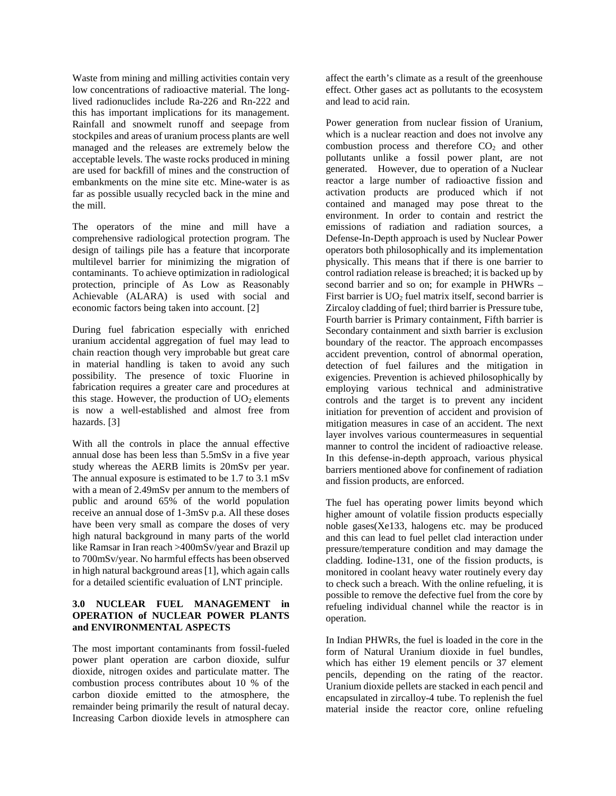Waste from mining and milling activities contain very low concentrations of radioactive material. The longlived radionuclides include Ra-226 and Rn-222 and this has important implications for its management. Rainfall and snowmelt runoff and seepage from stockpiles and areas of uranium process plants are well managed and the releases are extremely below the acceptable levels. The waste rocks produced in mining are used for backfill of mines and the construction of embankments on the mine site etc. Mine-water is as far as possible usually recycled back in the mine and the mill.

The operators of the mine and mill have a comprehensive radiological protection program. The design of tailings pile has a feature that incorporate multilevel barrier for minimizing the migration of contaminants. To achieve optimization in radiological protection, principle of As Low as Reasonably Achievable (ALARA) is used with social and economic factors being taken into account. [2]

During fuel fabrication especially with enriched uranium accidental aggregation of fuel may lead to chain reaction though very improbable but great care in material handling is taken to avoid any such possibility. The presence of toxic Fluorine in fabrication requires a greater care and procedures at this stage. However, the production of  $UO<sub>2</sub>$  elements is now a well-established and almost free from hazards. [3]

With all the controls in place the annual effective annual dose has been less than 5.5mSv in a five year study whereas the AERB limits is 20mSv per year. The annual exposure is estimated to be 1.7 to 3.1 mSv with a mean of 2.49mSv per annum to the members of public and around 65% of the world population receive an annual dose of 1-3mSv p.a. All these doses have been very small as compare the doses of very high natural background in many parts of the world like Ramsar in Iran reach >400mSv/year and Brazil up to 700mSv/year. No harmful effects has been observed in high natural background areas [1], which again calls for a detailed scientific evaluation of LNT principle.

#### **3.0 NUCLEAR FUEL MANAGEMENT in OPERATION of NUCLEAR POWER PLANTS and ENVIRONMENTAL ASPECTS**

The most important contaminants from fossil-fueled power plant operation are carbon dioxide, sulfur dioxide, nitrogen oxides and particulate matter. The combustion process contributes about 10 % of the carbon dioxide emitted to the atmosphere, the remainder being primarily the result of natural decay. Increasing Carbon dioxide levels in atmosphere can

affect the earth's climate as a result of the greenhouse effect. Other gases act as pollutants to the ecosystem and lead to acid rain.

Power generation from nuclear fission of Uranium, which is a nuclear reaction and does not involve any combustion process and therefore  $CO<sub>2</sub>$  and other pollutants unlike a fossil power plant, are not generated. However, due to operation of a Nuclear reactor a large number of radioactive fission and activation products are produced which if not contained and managed may pose threat to the environment. In order to contain and restrict the emissions of radiation and radiation sources, a Defense-In-Depth approach is used by Nuclear Power operators both philosophically and its implementation physically. This means that if there is one barrier to control radiation release is breached; it is backed up by second barrier and so on; for example in PHWRs – First barrier is UO<sub>2</sub> fuel matrix itself, second barrier is Zircaloy cladding of fuel; third barrier is Pressure tube, Fourth barrier is Primary containment, Fifth barrier is Secondary containment and sixth barrier is exclusion boundary of the reactor. The approach encompasses accident prevention, control of abnormal operation, detection of fuel failures and the mitigation in exigencies. Prevention is achieved philosophically by employing various technical and administrative controls and the target is to prevent any incident initiation for prevention of accident and provision of mitigation measures in case of an accident. The next layer involves various countermeasures in sequential manner to control the incident of radioactive release. In this defense-in-depth approach, various physical barriers mentioned above for confinement of radiation and fission products, are enforced.

The fuel has operating power limits beyond which higher amount of volatile fission products especially noble gases(Xe133, halogens etc. may be produced and this can lead to fuel pellet clad interaction under pressure/temperature condition and may damage the cladding. Iodine-131, one of the fission products, is monitored in coolant heavy water routinely every day to check such a breach. With the online refueling, it is possible to remove the defective fuel from the core by refueling individual channel while the reactor is in operation.

In Indian PHWRs, the fuel is loaded in the core in the form of Natural Uranium dioxide in fuel bundles, which has either 19 element pencils or 37 element pencils, depending on the rating of the reactor. Uranium dioxide pellets are stacked in each pencil and encapsulated in zircalloy-4 tube. To replenish the fuel material inside the reactor core, online refueling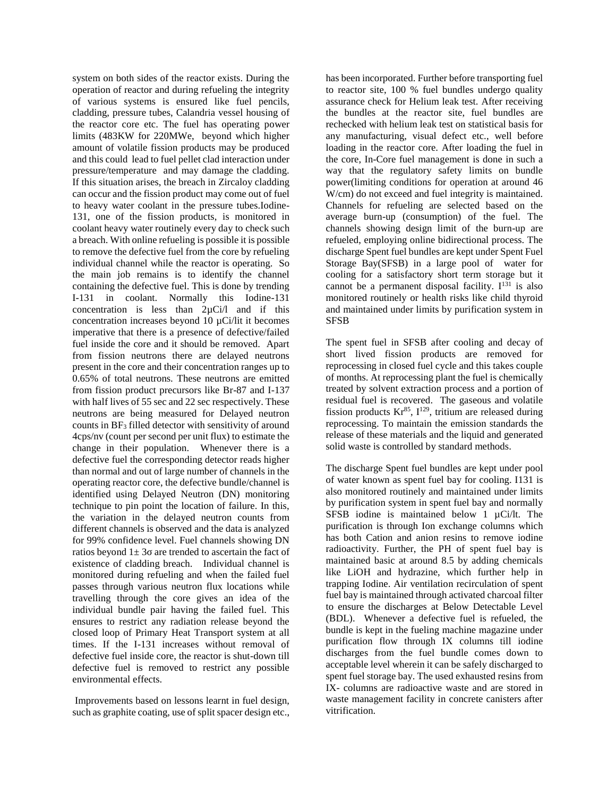system on both sides of the reactor exists. During the operation of reactor and during refueling the integrity of various systems is ensured like fuel pencils, cladding, pressure tubes, Calandria vessel housing of the reactor core etc. The fuel has operating power limits (483KW for 220MWe, beyond which higher amount of volatile fission products may be produced and this could lead to fuel pellet clad interaction under pressure/temperature and may damage the cladding. If this situation arises, the breach in Zircaloy cladding can occur and the fission product may come out of fuel to heavy water coolant in the pressure tubes.Iodine- 131, one of the fission products, is monitored in coolant heavy water routinely every day to check such a breach. With online refueling is possible it is possible to remove the defective fuel from the core by refueling individual channel while the reactor is operating. So the main job remains is to identify the channel containing the defective fuel. This is done by trending I-131 in coolant. Normally this Iodine-131 concentration is less than 2µCi/l and if this concentration increases beyond 10 µCi/lit it becomes imperative that there is a presence of defective/failed fuel inside the core and it should be removed. Apart from fission neutrons there are delayed neutrons present in the core and their concentration ranges up to 0.65% of total neutrons. These neutrons are emitted from fission product precursors like Br-87 and I-137 with half lives of 55 sec and 22 sec respectively. These neutrons are being measured for Delayed neutron counts in BF<sub>3</sub> filled detector with sensitivity of around 4cps/nv (count per second per unit flux) to estimate the change in their population. Whenever there is a defective fuel the corresponding detector reads higher than normal and out of large number of channels in the operating reactor core, the defective bundle/channel is identified using Delayed Neutron (DN) monitoring technique to pin point the location of failure. In this, the variation in the delayed neutron counts from different channels is observed and the data is analyzed for 99% confidence level. Fuel channels showing DN ratios beyond  $1\pm 3$  are trended to ascertain the fact of existence of cladding breach. Individual channel is monitored during refueling and when the failed fuel passes through various neutron flux locations while travelling through the core gives an idea of the individual bundle pair having the failed fuel. This ensures to restrict any radiation release beyond the closed loop of Primary Heat Transport system at all times. If the I-131 increases without removal of defective fuel inside core, the reactor is shut-down till defective fuel is removed to restrict any possible environmental effects.

Improvements based on lessons learnt in fuel design, such as graphite coating, use of split spacer design etc., has been incorporated. Further before transporting fuel to reactor site, 100 % fuel bundles undergo quality assurance check for Helium leak test. After receiving the bundles at the reactor site, fuel bundles are rechecked with helium leak teston statistical basis for any manufacturing, visual defect etc., well before loading in the reactor core. After loading the fuel in the core, In-Core fuel management is done in such a way that the regulatory safety limits on bundle power(limiting conditions for operation at around 46 W/cm) do not exceed and fuel integrity is maintained. Channels for refueling are selected based on the average burn-up (consumption) of the fuel. The channels showing design limit of the burn-up are refueled, employing online bidirectional process. The discharge Spent fuel bundles are kept under Spent Fuel Storage Bay(SFSB) in a large pool of water for cooling for a satisfactory short term storage but it cannot be a permanent disposal facility.  $I^{131}$  is also monitored routinely or health risks like child thyroid and maintained under limits by purification system in SFSB

The spent fuel in SFSB after cooling and decay of short lived fission products are removed for reprocessing in closed fuel cycle and this takes couple of months. At reprocessing plant the fuel is chemically treated by solvent extraction process and a portion of residual fuel is recovered. The gaseous and volatile fission products  $Kr^{85}$ ,  $I^{129}$ , tritium are released during reprocessing. To maintain the emission standards the release of these materials and the liquid and generated solid waste is controlled by standard methods.

The discharge Spent fuel bundles are kept under pool of water known as spent fuel bay for cooling. I131 is also monitored routinely and maintained under limits by purification system in spent fuel bay and normally SFSB iodine is maintained below 1 µCi/lt. The purification is through Ion exchange columns which has both Cation and anion resins to remove iodine radioactivity. Further, the PH of spent fuel bay is maintained basic at around 8.5 by adding chemicals like LiOH and hydrazine, which further help in trapping Iodine. Air ventilation recirculation of spent fuel bay is maintained through activated charcoal filter to ensure the discharges at Below Detectable Level (BDL). Whenever a defective fuel is refueled, the bundle is kept in the fueling machine magazine under purification flow through IX columns till iodine discharges from the fuel bundle comes down to acceptable level wherein it can be safely discharged to spent fuel storage bay. The used exhausted resins from IX- columns are radioactive waste and are stored in waste management facility in concrete canisters after vitrification.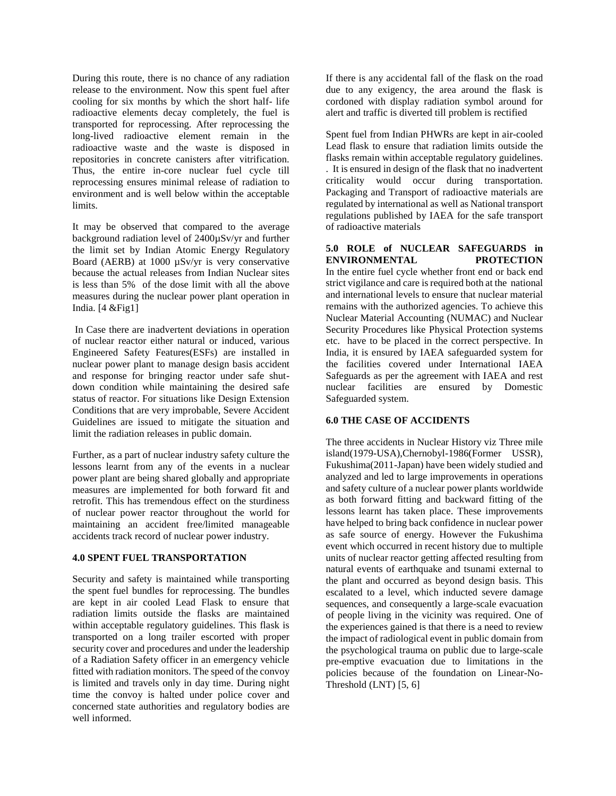During this route, there is no chance of any radiation release to the environment. Now this spent fuel after cooling for six months by which the short half- life radioactive elements decay completely, the fuel is transported for reprocessing. After reprocessing the long-lived radioactive element remain in the radioactive waste and the waste is disposed in repositories in concrete canisters after vitrification. Thus, the entire in-core nuclear fuel cycle till reprocessing ensures minimal release of radiation to environment and is well below within the acceptable limits.

It may be observed that compared to the average background radiation level of 2400µSv/yr and further the limit set by Indian Atomic Energy Regulatory Board (AERB) at 1000 µSv/yr is very conservative because the actual releases from Indian Nuclear sites is less than 5% of the dose limit with all the above measures during the nuclear power plant operation in India. [4 &Fig1]

In Case there are inadvertent deviations in operation of nuclear reactor either natural or induced, various Engineered Safety Features(ESFs) are installed in nuclear power plant to manage design basis accident and response for bringing reactor under safe shut down condition while maintaining the desired safe status of reactor. For situations like Design Extension Conditions that are very improbable, Severe Accident Guidelines are issued to mitigate the situation and limit the radiation releases in public domain.

Further, as a part of nuclear industry safety culture the lessons learnt from any of the events in a nuclear power plant are being shared globally and appropriate measures are implemented for both forward fit and retrofit. This has tremendous effect on the sturdiness of nuclear power reactor throughout the world for maintaining an accident free/limited manageable accidents track record of nuclear power industry.

#### **4.0 SPENT FUEL TRANSPORTATION**

Security and safety is maintained while transporting the spent fuel bundles for reprocessing. The bundles are kept in air cooled Lead Flask to ensure that radiation limits outside the flasks are maintained within acceptable regulatory guidelines. This flask is transported on a long trailer escorted with proper security cover and procedures and under the leadership of a Radiation Safety officer in an emergency vehicle fitted with radiation monitors. The speed of the convoy is limited and travels only in day time. During night time the convoy is halted under police cover and concerned state authorities and regulatory bodies are well informed.

If there is any accidental fall of the flask on the road due to any exigency, the area around the flask is cordoned with display radiation symbol around for alert and traffic is diverted till problem is rectified

Spent fuel from Indian PHWRs are kept in air-cooled Lead flask to ensure that radiation limits outside the flasks remain within acceptable regulatory guidelines. . It is ensured in design of the flask that no inadvertent criticality would occur during transportation. Packaging and Transport of radioactive materials are regulated by international as well as National transport regulations published by IAEA for the safe transport of radioactive materials

#### **5.0 ROLE of NUCLEAR SAFEGUARDS in ENVIRONMENTAL PROTECTION** In the entire fuel cycle whether front end or back end strict vigilance and care is required both at the national and international levels to ensure that nuclear material remains with the authorized agencies. To achieve this Nuclear Material Accounting (NUMAC) and Nuclear Security Procedures like Physical Protection systems

etc. have to be placed in the correct perspective. In India, it is ensured by IAEA safeguarded system for the facilities covered under International IAEA Safeguards as per the agreement with IAEA and rest nuclear facilities are ensured by Domestic Safeguarded system.

#### **6.0 THE CASE OF ACCIDENTS**

The three accidents in Nuclear History viz Three mile island(1979-USA),Chernobyl-1986(Former USSR), Fukushima(2011-Japan) have been widely studied and analyzed and led to large improvements in operations and safety culture of a nuclear power plants worldwide as both forward fitting and backward fitting of the lessons learnt has taken place. These improvements have helped to bring back confidence in nuclear power as safe source of energy. However the Fukushima event which occurred in recent history due to multiple units of nuclear reactor getting affected resulting from natural events of earthquake and tsunami external to the plant and occurred as beyond design basis. This escalated to a level, which inducted severe damage sequences, and consequently a large-scale evacuation of people living in the vicinity was required. One of the experiences gained is that there is a need to review the impact of radiological event in public domain from the psychological trauma on public due to large-scale pre-emptive evacuation due to limitations in the policies because of the foundation on Linear-No- Threshold (LNT) [5, 6]